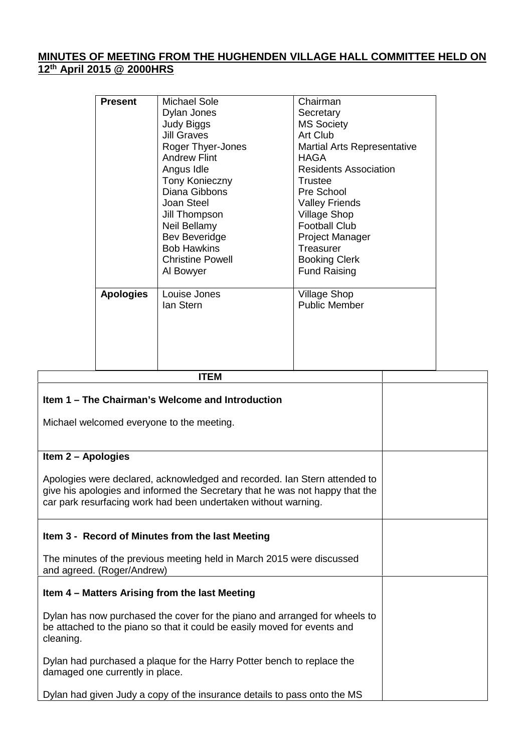# **MINUTES OF MEETING FROM THE HUGHENDEN VILLAGE HALL COMMITTEE HELD ON 12 th April 2015 @ 2000HRS**

| <b>Present</b>   | Michael Sole            | Chairman                           |
|------------------|-------------------------|------------------------------------|
|                  | Dylan Jones             | Secretary                          |
|                  | Judy Biggs              | <b>MS Society</b>                  |
|                  | <b>Jill Graves</b>      | Art Club                           |
|                  | Roger Thyer-Jones       | <b>Martial Arts Representative</b> |
|                  | <b>Andrew Flint</b>     | HAGA.                              |
|                  | Angus Idle              | <b>Residents Association</b>       |
|                  | <b>Tony Konieczny</b>   | Trustee                            |
|                  | Diana Gibbons           | Pre School                         |
|                  | Joan Steel              | <b>Valley Friends</b>              |
|                  | Jill Thompson           | <b>Village Shop</b>                |
|                  | Neil Bellamy            | <b>Football Club</b>               |
|                  | Bev Beveridge           | <b>Project Manager</b>             |
|                  | <b>Bob Hawkins</b>      | Treasurer                          |
|                  | <b>Christine Powell</b> | <b>Booking Clerk</b>               |
|                  | Al Bowyer               | <b>Fund Raising</b>                |
| <b>Apologies</b> | Louise Jones            | <b>Village Shop</b>                |
|                  | lan Stern               | <b>Public Member</b>               |
|                  |                         |                                    |
|                  |                         |                                    |
|                  |                         |                                    |
|                  |                         |                                    |
|                  | <b>ITEM</b>             |                                    |

 $\overline{\phantom{a}}$ 

| Item 1 – The Chairman's Welcome and Introduction                                                                                                                                                                            |  |
|-----------------------------------------------------------------------------------------------------------------------------------------------------------------------------------------------------------------------------|--|
| Michael welcomed everyone to the meeting.                                                                                                                                                                                   |  |
|                                                                                                                                                                                                                             |  |
| Item 2 - Apologies                                                                                                                                                                                                          |  |
| Apologies were declared, acknowledged and recorded. Ian Stern attended to<br>give his apologies and informed the Secretary that he was not happy that the<br>car park resurfacing work had been undertaken without warning. |  |
| Item 3 - Record of Minutes from the last Meeting                                                                                                                                                                            |  |
| The minutes of the previous meeting held in March 2015 were discussed<br>and agreed. (Roger/Andrew)                                                                                                                         |  |
| Item 4 - Matters Arising from the last Meeting                                                                                                                                                                              |  |
| Dylan has now purchased the cover for the piano and arranged for wheels to<br>be attached to the piano so that it could be easily moved for events and<br>cleaning.                                                         |  |
| Dylan had purchased a plaque for the Harry Potter bench to replace the<br>damaged one currently in place.                                                                                                                   |  |
| Dylan had given Judy a copy of the insurance details to pass onto the MS                                                                                                                                                    |  |

 $\sqrt{2}$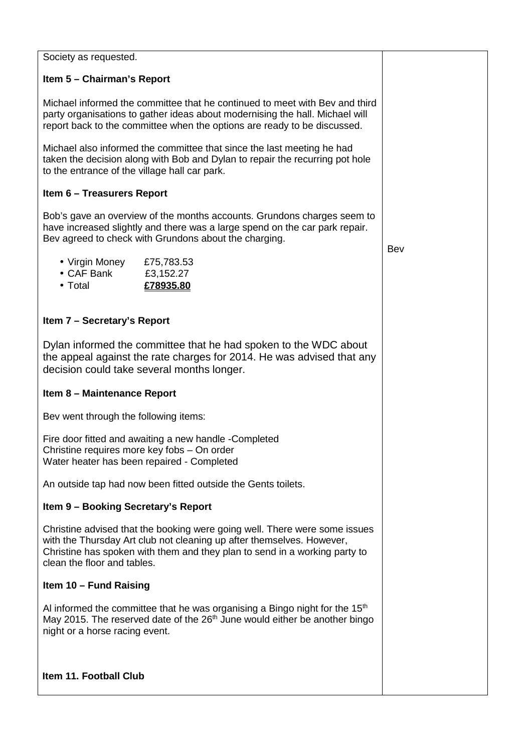Society as requested.

## **Item 5 – Chairman's Report**

Michael informed the committee that he continued to meet with Bev and third party organisations to gather ideas about modernising the hall. Michael will report back to the committee when the options are ready to be discussed.

Michael also informed the committee that since the last meeting he had taken the decision along with Bob and Dylan to repair the recurring pot hole to the entrance of the village hall car park.

## **Item 6 – Treasurers Report**

Bob's gave an overview of the months accounts. Grundons charges seem to have increased slightly and there was a large spend on the car park repair. Bev agreed to check with Grundons about the charging.

- Virgin Money £75,783.53
- CAF Bank £3,152.27
- Total **£78935.80**

# **Item 7 – Secretary's Report**

Dylan informed the committee that he had spoken to the WDC about the appeal against the rate charges for 2014. He was advised that any decision could take several months longer.

### **Item 8 – Maintenance Report**

Bev went through the following items:

Fire door fitted and awaiting a new handle -Completed Christine requires more key fobs – On order Water heater has been repaired - Completed

An outside tap had now been fitted outside the Gents toilets.

### **Item 9 – Booking Secretary's Report**

Christine advised that the booking were going well. There were some issues with the Thursday Art club not cleaning up after themselves. However, Christine has spoken with them and they plan to send in a working party to clean the floor and tables.

### **Item 10 – Fund Raising**

Al informed the committee that he was organising a Bingo night for the  $15<sup>th</sup>$ May 2015. The reserved date of the  $26<sup>th</sup>$  June would either be another bingo night or a horse racing event.

### **Item 11. Football Club**

Bev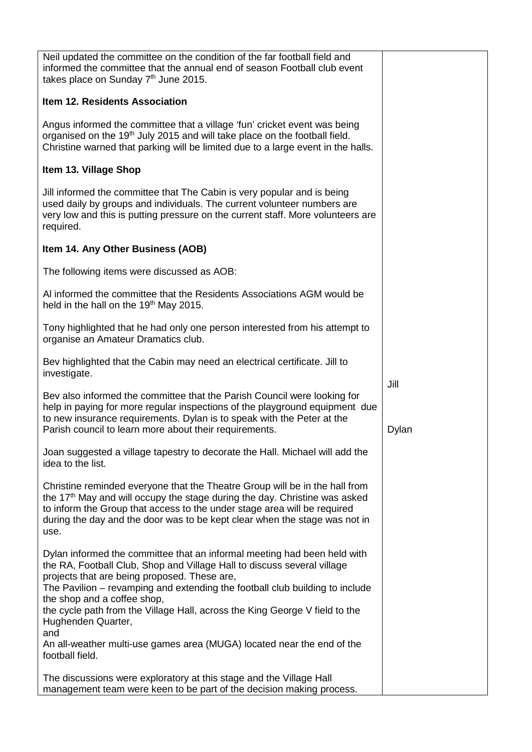| Neil updated the committee on the condition of the far football field and<br>informed the committee that the annual end of season Football club event<br>takes place on Sunday 7th June 2015.                                                                                                                                                                                                                                  |       |
|--------------------------------------------------------------------------------------------------------------------------------------------------------------------------------------------------------------------------------------------------------------------------------------------------------------------------------------------------------------------------------------------------------------------------------|-------|
| Item 12. Residents Association                                                                                                                                                                                                                                                                                                                                                                                                 |       |
| Angus informed the committee that a village 'fun' cricket event was being<br>organised on the 19 <sup>th</sup> July 2015 and will take place on the football field.<br>Christine warned that parking will be limited due to a large event in the halls.                                                                                                                                                                        |       |
| Item 13. Village Shop                                                                                                                                                                                                                                                                                                                                                                                                          |       |
| Jill informed the committee that The Cabin is very popular and is being<br>used daily by groups and individuals. The current volunteer numbers are<br>very low and this is putting pressure on the current staff. More volunteers are<br>required.                                                                                                                                                                             |       |
| Item 14. Any Other Business (AOB)                                                                                                                                                                                                                                                                                                                                                                                              |       |
| The following items were discussed as AOB:                                                                                                                                                                                                                                                                                                                                                                                     |       |
| Al informed the committee that the Residents Associations AGM would be<br>held in the hall on the 19 <sup>th</sup> May 2015.                                                                                                                                                                                                                                                                                                   |       |
| Tony highlighted that he had only one person interested from his attempt to<br>organise an Amateur Dramatics club.                                                                                                                                                                                                                                                                                                             |       |
| Bev highlighted that the Cabin may need an electrical certificate. Jill to<br>investigate.                                                                                                                                                                                                                                                                                                                                     | Jill  |
| Bev also informed the committee that the Parish Council were looking for<br>help in paying for more regular inspections of the playground equipment due<br>to new insurance requirements. Dylan is to speak with the Peter at the<br>Parish council to learn more about their requirements.                                                                                                                                    | Dylan |
| Joan suggested a village tapestry to decorate the Hall. Michael will add the<br>idea to the list.                                                                                                                                                                                                                                                                                                                              |       |
| Christine reminded everyone that the Theatre Group will be in the hall from<br>the 17 <sup>th</sup> May and will occupy the stage during the day. Christine was asked<br>to inform the Group that access to the under stage area will be required<br>during the day and the door was to be kept clear when the stage was not in<br>use.                                                                                        |       |
| Dylan informed the committee that an informal meeting had been held with<br>the RA, Football Club, Shop and Village Hall to discuss several village<br>projects that are being proposed. These are,<br>The Pavilion – revamping and extending the football club building to include<br>the shop and a coffee shop,<br>the cycle path from the Village Hall, across the King George V field to the<br>Hughenden Quarter,<br>and |       |
| An all-weather multi-use games area (MUGA) located near the end of the<br>football field.                                                                                                                                                                                                                                                                                                                                      |       |
| The discussions were exploratory at this stage and the Village Hall<br>management team were keen to be part of the decision making process.                                                                                                                                                                                                                                                                                    |       |